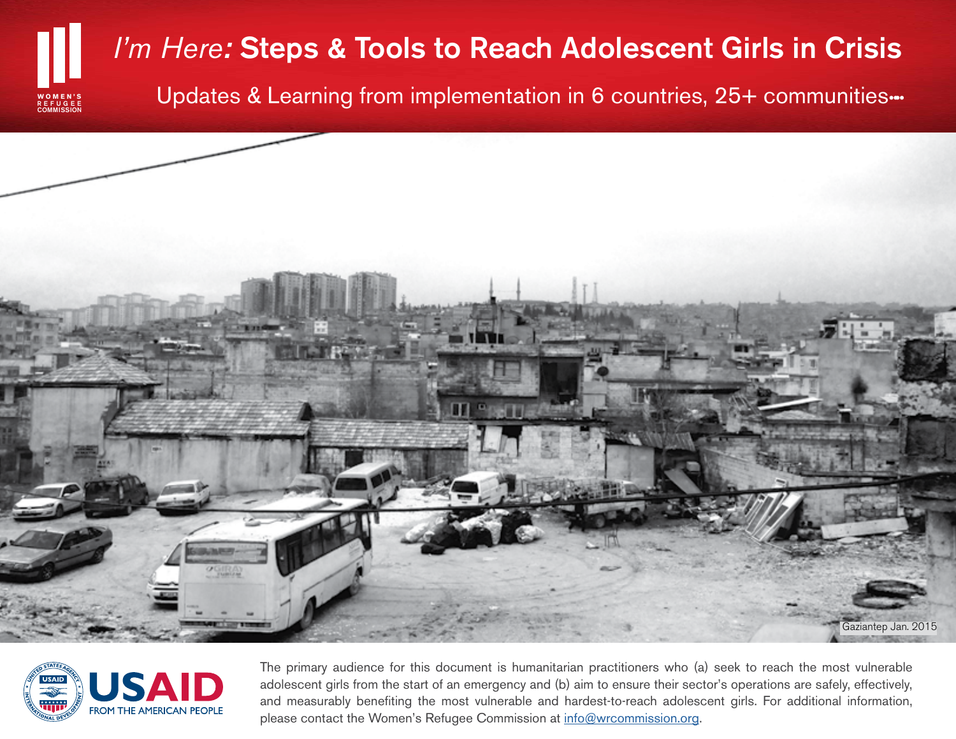# *I'm Here:* Steps & Tools to Reach Adolescent Girls in Crisis

Updates & Learning from implementation in 6 countries, 25+ communities…





**COMMISSION** REFUGEE **WOMEN'S**

> The primary audience for this document is humanitarian practitioners who (a) seek to reach the most vulnerable adolescent girls from the start of an emergency and (b) aim to ensure their sector's operations are safely, effectively, and measurably benefiting the most vulnerable and hardest-to-reach adolescent girls. For additional information, please contact the Women's Refugee Commission at info@wrcommission.org.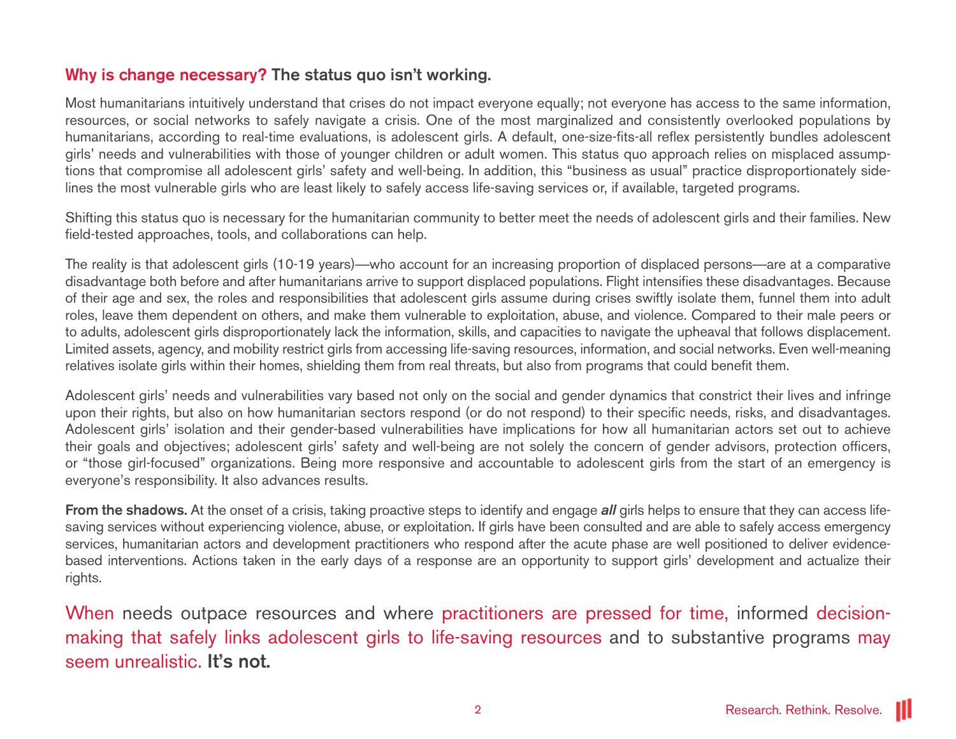## Why is change necessary? The status quo isn't working.

Most humanitarians intuitively understand that crises do not impact everyone equally; not everyone has access to the same information, resources, or social networks to safely navigate a crisis. One of the most marginalized and consistently overlooked populations by humanitarians, according to real-time evaluations, is adolescent girls. A default, one-size-fits-all reflex persistently bundles adolescent girls' needs and vulnerabilities with those of younger children or adult women. This status quo approach relies on misplaced assumptions that compromise all adolescent girls' safety and well-being. In addition, this "business as usual" practice disproportionately sidelines the most vulnerable girls who are least likely to safely access life-saving services or, if available, targeted programs.

Shifting this status quo is necessary for the humanitarian community to better meet the needs of adolescent girls and their families. New field-tested approaches, tools, and collaborations can help.

The reality is that adolescent girls (10-19 years)—who account for an increasing proportion of displaced persons—are at a comparative disadvantage both before and after humanitarians arrive to support displaced populations. Flight intensifies these disadvantages. Because of their age and sex, the roles and responsibilities that adolescent girls assume during crises swiftly isolate them, funnel them into adult roles, leave them dependent on others, and make them vulnerable to exploitation, abuse, and violence. Compared to their male peers or to adults, adolescent girls disproportionately lack the information, skills, and capacities to navigate the upheaval that follows displacement. Limited assets, agency, and mobility restrict girls from accessing life-saving resources, information, and social networks. Even well-meaning relatives isolate girls within their homes, shielding them from real threats, but also from programs that could benefit them.

Adolescent girls' needs and vulnerabilities vary based not only on the social and gender dynamics that constrict their lives and infringe upon their rights, but also on how humanitarian sectors respond (or do not respond) to their specific needs, risks, and disadvantages. Adolescent girls' isolation and their gender-based vulnerabilities have implications for how all humanitarian actors set out to achieve their goals and objectives; adolescent girls' safety and well-being are not solely the concern of gender advisors, protection officers, or "those girl-focused" organizations. Being more responsive and accountable to adolescent girls from the start of an emergency is everyone's responsibility. It also advances results.

From the shadows. At the onset of a crisis, taking proactive steps to identify and engage *all* girls helps to ensure that they can access lifesaving services without experiencing violence, abuse, or exploitation. If girls have been consulted and are able to safely access emergency services, humanitarian actors and development practitioners who respond after the acute phase are well positioned to deliver evidencebased interventions. Actions taken in the early days of a response are an opportunity to support girls' development and actualize their rights.

When needs outpace resources and where practitioners are pressed for time, informed decisionmaking that safely links adolescent girls to life-saving resources and to substantive programs may seem unrealistic. It's not.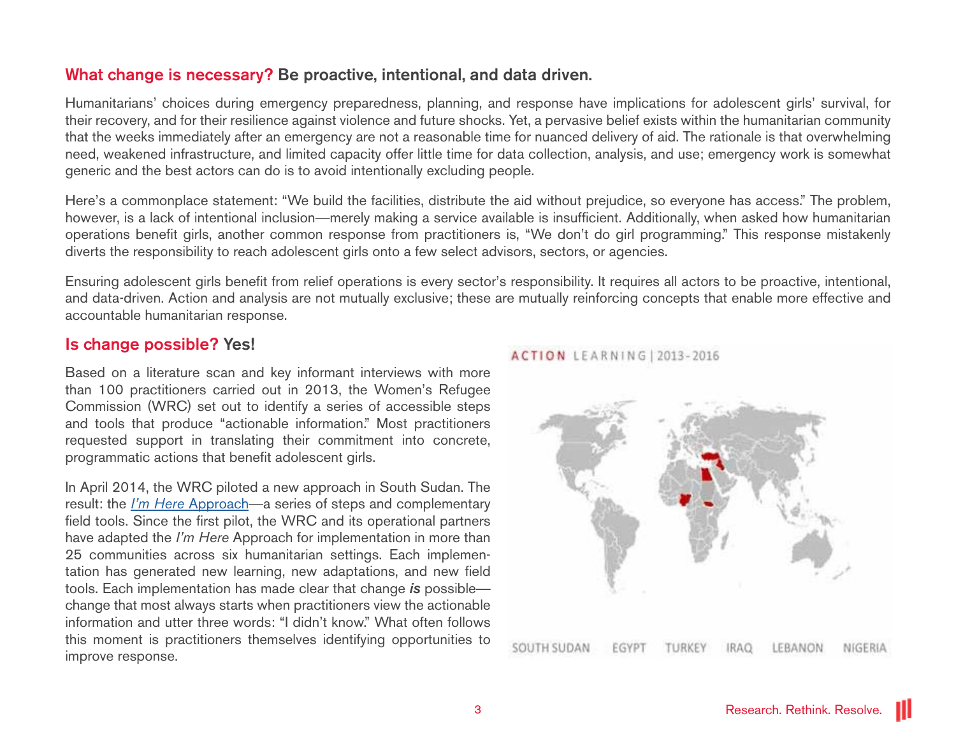## What change is necessary? Be proactive, intentional, and data driven.

Humanitarians' choices during emergency preparedness, planning, and response have implications for adolescent girls' survival, for their recovery, and for their resilience against violence and future shocks. Yet, a pervasive belief exists within the humanitarian community that the weeks immediately after an emergency are not a reasonable time for nuanced delivery of aid. The rationale is that overwhelming need, weakened infrastructure, and limited capacity offer little time for data collection, analysis, and use; emergency work is somewhat generic and the best actors can do is to avoid intentionally excluding people.

Here's a commonplace statement: "We build the facilities, distribute the aid without prejudice, so everyone has access." The problem, however, is a lack of intentional inclusion—merely making a service available is insufficient. Additionally, when asked how humanitarian operations benefit girls, another common response from practitioners is, "We don't do girl programming." This response mistakenly diverts the responsibility to reach adolescent girls onto a few select advisors, sectors, or agencies.

Ensuring adolescent girls benefit from relief operations is every sector's responsibility. It requires all actors to be proactive, intentional, and data-driven. Action and analysis are not mutually exclusive; these are mutually reinforcing concepts that enable more effective and accountable humanitarian response.

### Is change possible? Yes!

Based on a literature scan and key informant interviews with more than 100 practitioners carried out in 2013, the Women's Refugee Commission (WRC) set out to identify a series of accessible steps and tools that produce "actionable information." Most practitioners requested support in translating their commitment into concrete, programmatic actions that benefit adolescent girls.

In April 2014, the WRC piloted a new approach in South Sudan. The result: the *I'm Here* [Approach](http://wrc.ms/ImHere-page)—a series of steps and complementary field tools. Since the first pilot, the WRC and its operational partners have adapted the *I'm Here* Approach for implementation in more than 25 communities across six humanitarian settings. Each implementation has generated new learning, new adaptations, and new field tools. Each implementation has made clear that change *is* possible change that most always starts when practitioners view the actionable information and utter three words: "I didn't know." What often follows this moment is practitioners themselves identifying opportunities to improve response.

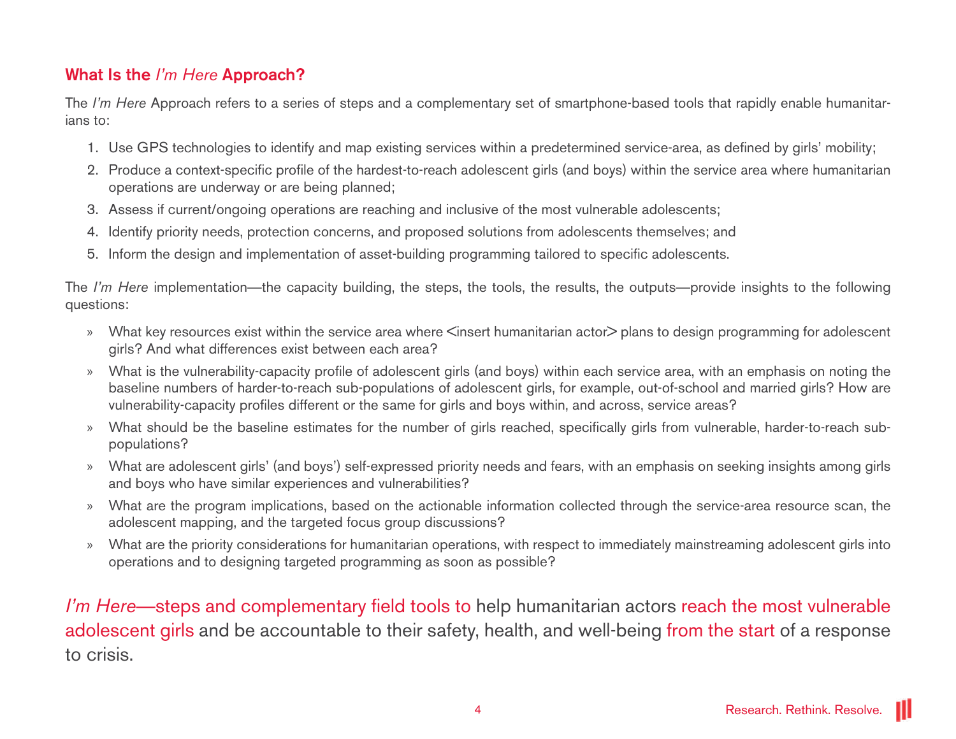## What Is the *I'm Here* Approach?

The *I'm Here* Approach refers to a series of steps and a complementary set of smartphone-based tools that rapidly enable humanitarians to:

- 1. Use GPS technologies to identify and map existing services within a predetermined service-area, as defined by girls' mobility;
- 2. Produce a context-specific profile of the hardest-to-reach adolescent girls (and boys) within the service area where humanitarian operations are underway or are being planned;
- 3. Assess if current/ongoing operations are reaching and inclusive of the most vulnerable adolescents;
- 4. Identify priority needs, protection concerns, and proposed solutions from adolescents themselves; and
- 5. Inform the design and implementation of asset-building programming tailored to specific adolescents.

The *I'm Here* implementation—the capacity building, the steps, the tools, the results, the outputs—provide insights to the following questions:

- » What key resources exist within the service area where <insert humanitarian actor> plans to design programming for adolescent girls? And what differences exist between each area?
- » What is the vulnerability-capacity profile of adolescent girls (and boys) within each service area, with an emphasis on noting the baseline numbers of harder-to-reach sub-populations of adolescent girls, for example, out-of-school and married girls? How are vulnerability-capacity profiles different or the same for girls and boys within, and across, service areas?
- » What should be the baseline estimates for the number of girls reached, specifically girls from vulnerable, harder-to-reach subpopulations?
- » What are adolescent girls' (and boys') self-expressed priority needs and fears, with an emphasis on seeking insights among girls and boys who have similar experiences and vulnerabilities?
- » What are the program implications, based on the actionable information collected through the service-area resource scan, the adolescent mapping, and the targeted focus group discussions?
- » What are the priority considerations for humanitarian operations, with respect to immediately mainstreaming adolescent girls into operations and to designing targeted programming as soon as possible?

*I'm Here*—steps and complementary field tools to help humanitarian actors reach the most vulnerable adolescent girls and be accountable to their safety, health, and well-being from the start of a response to crisis.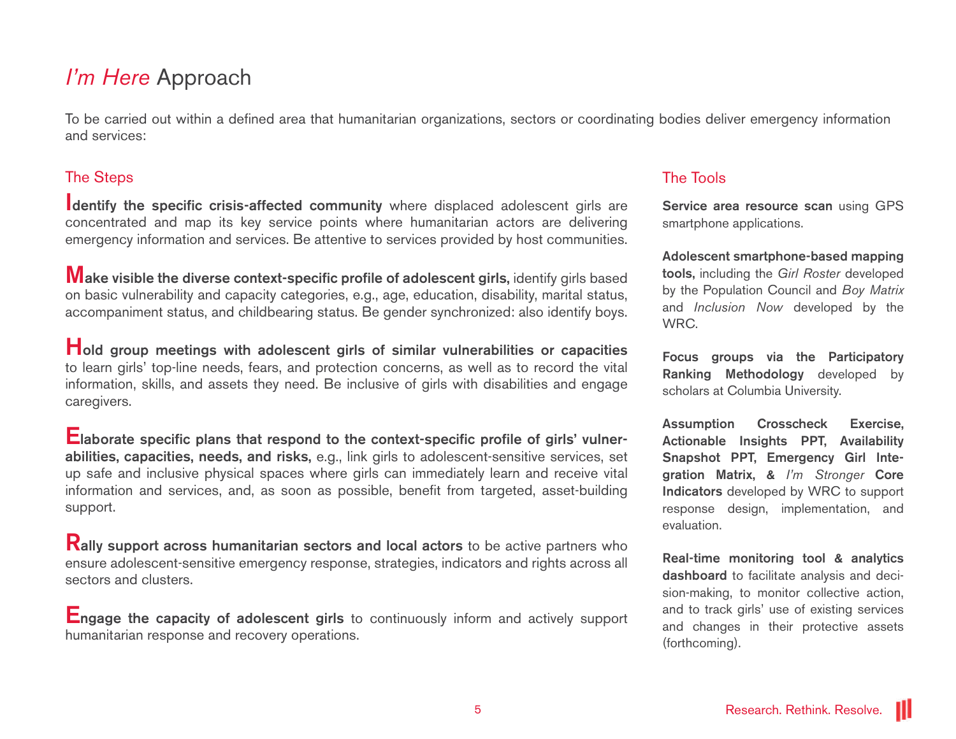## *I'm Here* Approach

To be carried out within a defined area that humanitarian organizations, sectors or coordinating bodies deliver emergency information and services:

### The Steps

I dentify the specific crisis-affected community where displaced adolescent girls are concentrated and map its key service points where humanitarian actors are delivering emergency information and services. Be attentive to services provided by host communities.

**Wake visible the diverse context-specific profile of adolescent girls, identify girls based** on basic vulnerability and capacity categories, e.g., age, education, disability, marital status, accompaniment status, and childbearing status. Be gender synchronized: also identify boys.

Hold group meetings with adolescent girls of similar vulnerabilities or capacities to learn girls' top-line needs, fears, and protection concerns, as well as to record the vital information, skills, and assets they need. Be inclusive of girls with disabilities and engage caregivers.

Elaborate specific plans that respond to the context-specific profile of girls' vulnerabilities, capacities, needs, and risks, e.g., link girls to adolescent-sensitive services, set up safe and inclusive physical spaces where girls can immediately learn and receive vital information and services, and, as soon as possible, benefit from targeted, asset-building support.

**Rally support across humanitarian sectors and local actors** to be active partners who ensure adolescent-sensitive emergency response, strategies, indicators and rights across all sectors and clusters.

**Engage the capacity of adolescent girls** to continuously inform and actively support humanitarian response and recovery operations.

### The Tools

Service area resource scan using GPS smartphone applications.

Adolescent smartphone-based mapping tools, including the *Girl Roster* developed by the Population Council and *Boy Matrix*  and *Inclusion Now* developed by the WRC.

Focus groups via the Participatory Ranking Methodology developed by scholars at Columbia University.

Assumption Crosscheck Exercise, Actionable Insights PPT, Availability Snapshot PPT, Emergency Girl Integration Matrix, & *I'm Stronger* Core Indicators developed by WRC to support response design, implementation, and evaluation.

Real-time monitoring tool & analytics dashboard to facilitate analysis and decision-making, to monitor collective action, and to track girls' use of existing services and changes in their protective assets (forthcoming).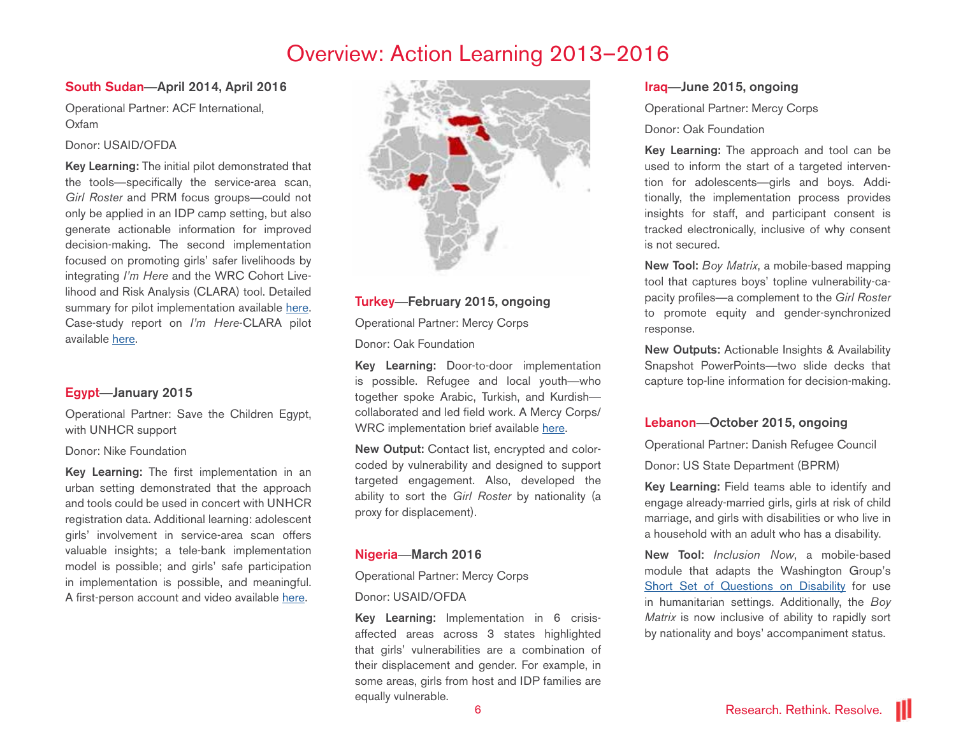## Overview: Action Learning 2013–2016

#### South Sudan—April 2014, April 2016

Operational Partner: ACF International, Oxfam

#### Donor: USAID/OFDA

Key Learning: The initial pilot demonstrated that the tools—specifically the service-area scan, *Girl Roster* and PRM focus groups—could not only be applied in an IDP camp setting, but also generate actionable information for improved decision-making. The second implementation focused on promoting girls' safer livelihoods by integrating *I'm Here* and the WRC Cohort Livelihood and Risk Analysis (CLARA) tool. Detailed summary for pilot implementation available [here.](http://wrc.ms/ImHere-fieldtest) Case-study report on *I'm Here*-CLARA pilot available [here.](https://www.womensrefugeecommission.org/girls/resources/1362-girls-safe-livelihoods)

#### Egypt—January 2015

Operational Partner: Save the Children Egypt, with UNHCR support

#### Donor: Nike Foundation

Key Learning: The first implementation in an urban setting demonstrated that the approach and tools could be used in concert with UNHCR registration data. Additional learning: adolescent girls' involvement in service-area scan offers valuable insights; a tele-bank implementation model is possible; and girls' safe participation in implementation is possible, and meaningful. A first-person account and video available here.



#### Turkey—February 2015, ongoing

Operational Partner: Mercy Corps

Donor: Oak Foundation

Key Learning: Door-to-door implementation is possible. Refugee and local youth—who together spoke Arabic, Turkish, and Kurdish collaborated and led field work. A Mercy Corps/ WRC implementation brief available [here.](http://wrc.ms/AG_Gaziantep)

New Output: Contact list, encrypted and colorcoded by vulnerability and designed to support targeted engagement. Also, developed the ability to sort the *Girl Roster* by nationality (a proxy for displacement).

#### Nigeria—March 2016

Operational Partner: Mercy Corps

#### Donor: USAID/OFDA

Key Learning: Implementation in 6 crisisaffected areas across 3 states highlighted that girls' vulnerabilities are a combination of their displacement and gender. For example, in some areas, girls from host and IDP families are equally vulnerable.

#### Iraq—June 2015, ongoing

Operational Partner: Mercy Corps

#### Donor: Oak Foundation

Key Learning: The approach and tool can be used to inform the start of a targeted intervention for adolescents—girls and boys. Additionally, the implementation process provides insights for staff, and participant consent is tracked electronically, inclusive of why consent is not secured.

New Tool: *Boy Matrix*, a mobile-based mapping tool that captures boys' topline vulnerability-capacity profiles—a complement to the *Girl Roster* to promote equity and gender-synchronized response.

New Outputs: Actionable Insights & Availability Snapshot PowerPoints—two slide decks that capture top-line information for decision-making.

#### Lebanon—October 2015, ongoing

Operational Partner: Danish Refugee Council

Donor: US State Department (BPRM)

Key Learning: Field teams able to identify and engage already-married girls, girls at risk of child marriage, and girls with disabilities or who live in a household with an adult who has a disability.

New Tool: *Inclusion Now*, a mobile-based module that adapts the Washington Group's [Short Set of Questions on Disability](http://wrc.ms/CDC-WG-shortset) for use in humanitarian settings. Additionally, the *Boy Matrix* is now inclusive of ability to rapidly sort by nationality and boys' accompaniment status.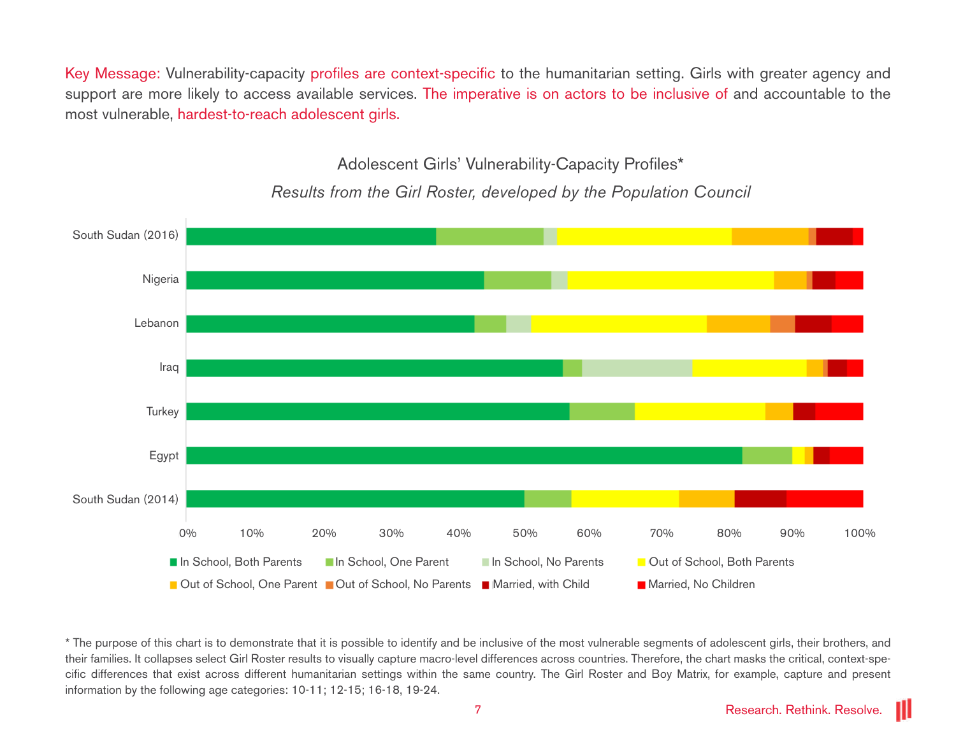Key Message: Vulnerability-capacity profiles are context-specific to the humanitarian setting. Girls with greater agency and support are more likely to access available services. The imperative is on actors to be inclusive of and accountable to the most vulnerable, hardest-to-reach adolescent girls.

Adolescent Girls' Vulnerability-Capacity Profiles\*



*Results from the Girl Roster, developed by the Population Council*

<sup>\*</sup> The purpose of this chart is to demonstrate that it is possible to identify and be inclusive of the most vulnerable segments of adolescent girls, their brothers, and their families. It collapses select Girl Roster results to visually capture macro-level differences across countries. Therefore, the chart masks the critical, context-specific differences that exist across different humanitarian settings within the same country. The Girl Roster and Boy Matrix, for example, capture and present information by the following age categories: 10-11; 12-15; 16-18, 19-24.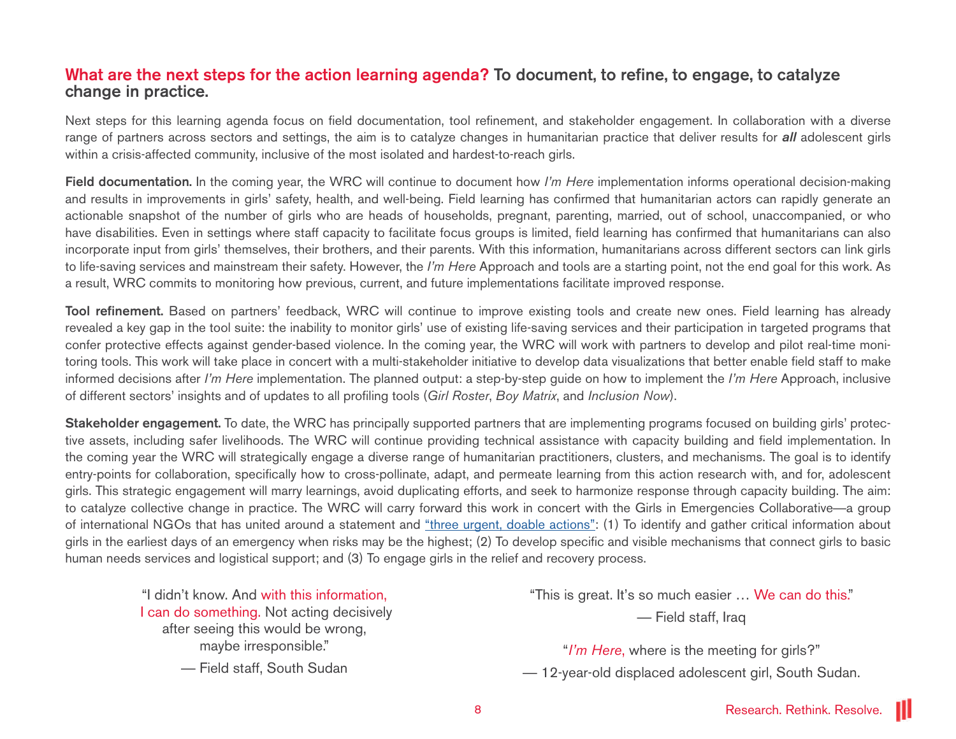## What are the next steps for the action learning agenda? To document, to refine, to engage, to catalyze change in practice.

Next steps for this learning agenda focus on field documentation, tool refinement, and stakeholder engagement. In collaboration with a diverse range of partners across sectors and settings, the aim is to catalyze changes in humanitarian practice that deliver results for *all* adolescent girls within a crisis-affected community, inclusive of the most isolated and hardest-to-reach girls.

Field documentation. In the coming year, the WRC will continue to document how *I'm Here* implementation informs operational decision-making and results in improvements in girls' safety, health, and well-being. Field learning has confirmed that humanitarian actors can rapidly generate an actionable snapshot of the number of girls who are heads of households, pregnant, parenting, married, out of school, unaccompanied, or who have disabilities. Even in settings where staff capacity to facilitate focus groups is limited, field learning has confirmed that humanitarians can also incorporate input from girls' themselves, their brothers, and their parents. With this information, humanitarians across different sectors can link girls to life-saving services and mainstream their safety. However, the *I'm Here* Approach and tools are a starting point, not the end goal for this work. As a result, WRC commits to monitoring how previous, current, and future implementations facilitate improved response.

Tool refinement. Based on partners' feedback, WRC will continue to improve existing tools and create new ones. Field learning has already revealed a key gap in the tool suite: the inability to monitor girls' use of existing life-saving services and their participation in targeted programs that confer protective effects against gender-based violence. In the coming year, the WRC will work with partners to develop and pilot real-time monitoring tools. This work will take place in concert with a multi-stakeholder initiative to develop data visualizations that better enable field staff to make informed decisions after *I'm Here* implementation. The planned output: a step-by-step guide on how to implement the *I'm Here* Approach, inclusive of different sectors' insights and of updates to all profiling tools (*Girl Roster*, *Boy Matrix*, and *Inclusion Now*).

Stakeholder engagement. To date, the WRC has principally supported partners that are implementing programs focused on building girls' protective assets, including safer livelihoods. The WRC will continue providing technical assistance with capacity building and field implementation. In the coming year the WRC will strategically engage a diverse range of humanitarian practitioners, clusters, and mechanisms. The goal is to identify entry-points for collaboration, specifically how to cross-pollinate, adapt, and permeate learning from this action research with, and for, adolescent girls. This strategic engagement will marry learnings, avoid duplicating efforts, and seek to harmonize response through capacity building. The aim: to catalyze collective change in practice. The WRC will carry forward this work in concert with the Girls in Emergencies Collaborative—a group of international NGOs that has united around a statement and ["three urgent, doable actions"](http://wrc.ms/Girls-statement): (1) To identify and gather critical information about girls in the earliest days of an emergency when risks may be the highest; (2) To develop specific and visible mechanisms that connect girls to basic human needs services and logistical support; and (3) To engage girls in the relief and recovery process.

"I didn't know. And with this information, I can do something. Not acting decisively after seeing this would be wrong, maybe irresponsible."

— Field staff, South Sudan

"This is great. It's so much easier … We can do this."

— Field staff, Iraq

"*I'm Here*, where is the meeting for girls?"

— 12-year-old displaced adolescent girl, South Sudan.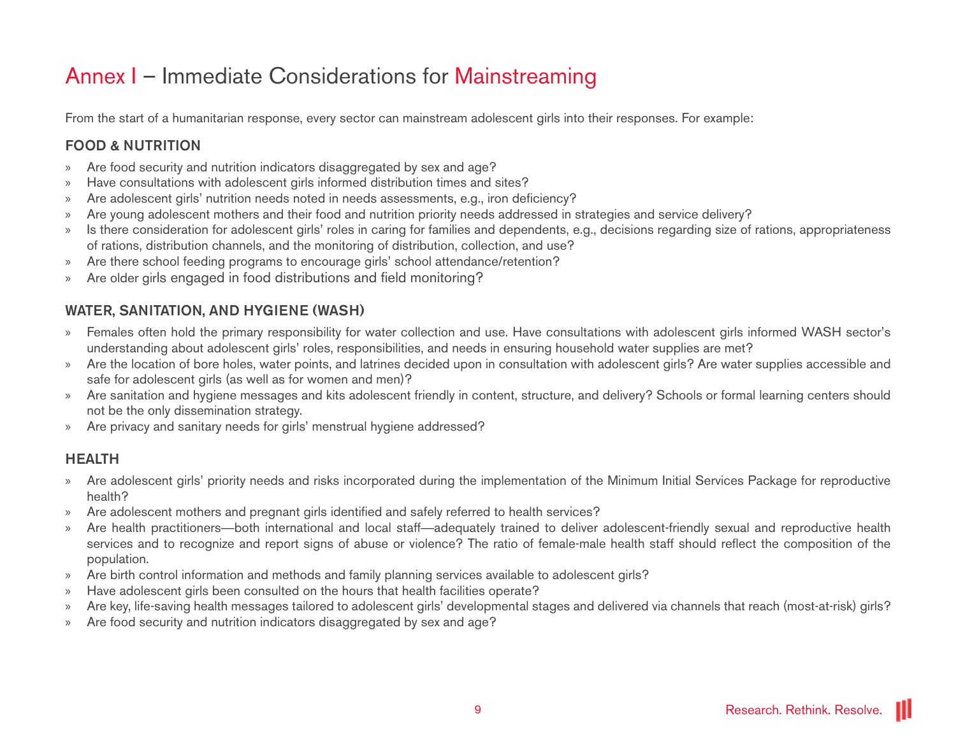## Annex I – Immediate Considerations for Mainstreaming

From the start of a humanitarian response, every sector can mainstream adolescent girls into their responses. For example:

## FOOD & NUTRITION

- » Are food security and nutrition indicators disaggregated by sex and age?
- » Have consultations with adolescent girls informed distribution times and sites?
- » Are adolescent girls' nutrition needs noted in needs assessments, e.g., iron deficiency?
- » Are young adolescent mothers and their food and nutrition priority needs addressed in strategies and service delivery?
- » Is there consideration for adolescent girls' roles in caring for families and dependents, e.g., decisions regarding size of rations, appropriateness of rations, distribution channels, and the monitoring of distribution, collection, and use?
- » Are there school feeding programs to encourage girls' school attendance/retention?
- » Are older girls engaged in food distributions and field monitoring?

## WATER, SANITATION, AND HYGIENE (WASH)

- » Females often hold the primary responsibility for water collection and use. Have consultations with adolescent girls informed WASH sector's understanding about adolescent girls' roles, responsibilities, and needs in ensuring household water supplies are met?
- » Are the location of bore holes, water points, and latrines decided upon in consultation with adolescent girls? Are water supplies accessible and safe for adolescent girls (as well as for women and men)?
- » Are sanitation and hygiene messages and kits adolescent friendly in content, structure, and delivery? Schools or formal learning centers should not be the only dissemination strategy.
- » Are privacy and sanitary needs for girls' menstrual hygiene addressed?

## HEALTH

- » Are adolescent girls' priority needs and risks incorporated during the implementation of the Minimum Initial Services Package for reproductive health?
- Are adolescent mothers and pregnant girls identified and safely referred to health services?
- » Are health practitioners—both international and local staff—adequately trained to deliver adolescent-friendly sexual and reproductive health services and to recognize and report signs of abuse or violence? The ratio of female-male health staff should reflect the composition of the population.
- » Are birth control information and methods and family planning services available to adolescent girls?
- » Have adolescent girls been consulted on the hours that health facilities operate?
- » Are key, life-saving health messages tailored to adolescent girls' developmental stages and delivered via channels that reach (most-at-risk) girls?
- » Are food security and nutrition indicators disaggregated by sex and age?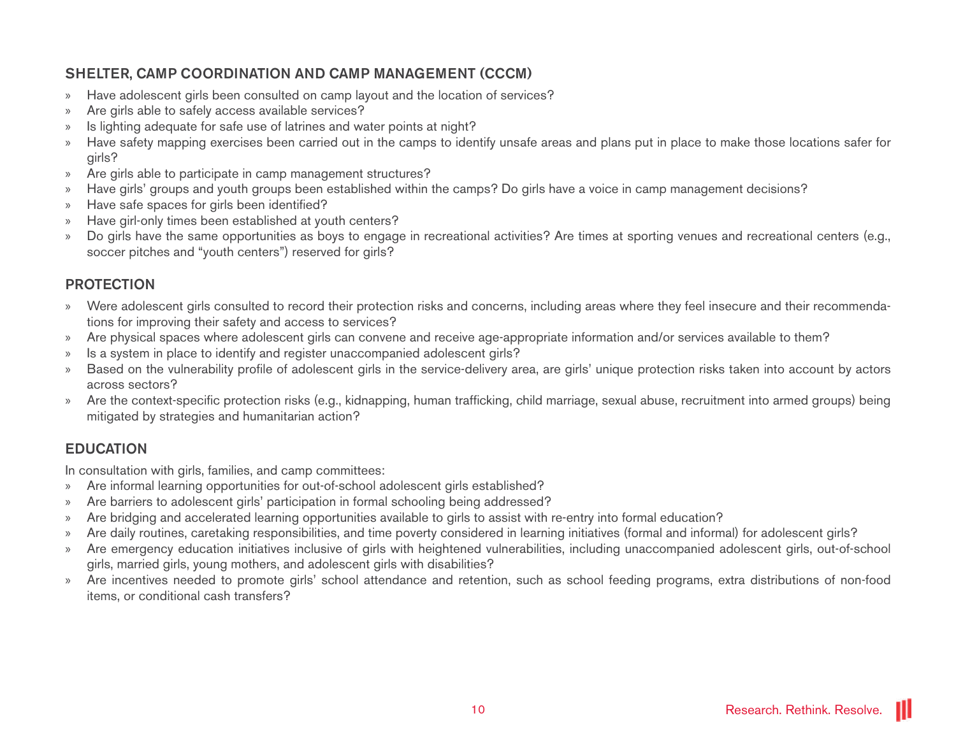## SHELTER, CAMP COORDINATION AND CAMP MANAGEMENT (CCCM)

- » Have adolescent girls been consulted on camp layout and the location of services?
- » Are girls able to safely access available services?
- » Is lighting adequate for safe use of latrines and water points at night?
- » Have safety mapping exercises been carried out in the camps to identify unsafe areas and plans put in place to make those locations safer for girls?
- » Are girls able to participate in camp management structures?
- » Have girls' groups and youth groups been established within the camps? Do girls have a voice in camp management decisions?
- » Have safe spaces for girls been identified?
- » Have girl-only times been established at youth centers?
- » Do girls have the same opportunities as boys to engage in recreational activities? Are times at sporting venues and recreational centers (e.g., soccer pitches and "youth centers") reserved for girls?

### PROTECTION

- » Were adolescent girls consulted to record their protection risks and concerns, including areas where they feel insecure and their recommendations for improving their safety and access to services?
- » Are physical spaces where adolescent girls can convene and receive age-appropriate information and/or services available to them?
- » Is a system in place to identify and register unaccompanied adolescent girls?
- » Based on the vulnerability profile of adolescent girls in the service-delivery area, are girls' unique protection risks taken into account by actors across sectors?
- » Are the context-specific protection risks (e.g., kidnapping, human trafficking, child marriage, sexual abuse, recruitment into armed groups) being mitigated by strategies and humanitarian action?

## EDUCATION

In consultation with girls, families, and camp committees:

- » Are informal learning opportunities for out-of-school adolescent girls established?
- » Are barriers to adolescent girls' participation in formal schooling being addressed?
- » Are bridging and accelerated learning opportunities available to girls to assist with re-entry into formal education?
- » Are daily routines, caretaking responsibilities, and time poverty considered in learning initiatives (formal and informal) for adolescent girls?
- » Are emergency education initiatives inclusive of girls with heightened vulnerabilities, including unaccompanied adolescent girls, out-of-school girls, married girls, young mothers, and adolescent girls with disabilities?
- » Are incentives needed to promote girls' school attendance and retention, such as school feeding programs, extra distributions of non-food items, or conditional cash transfers?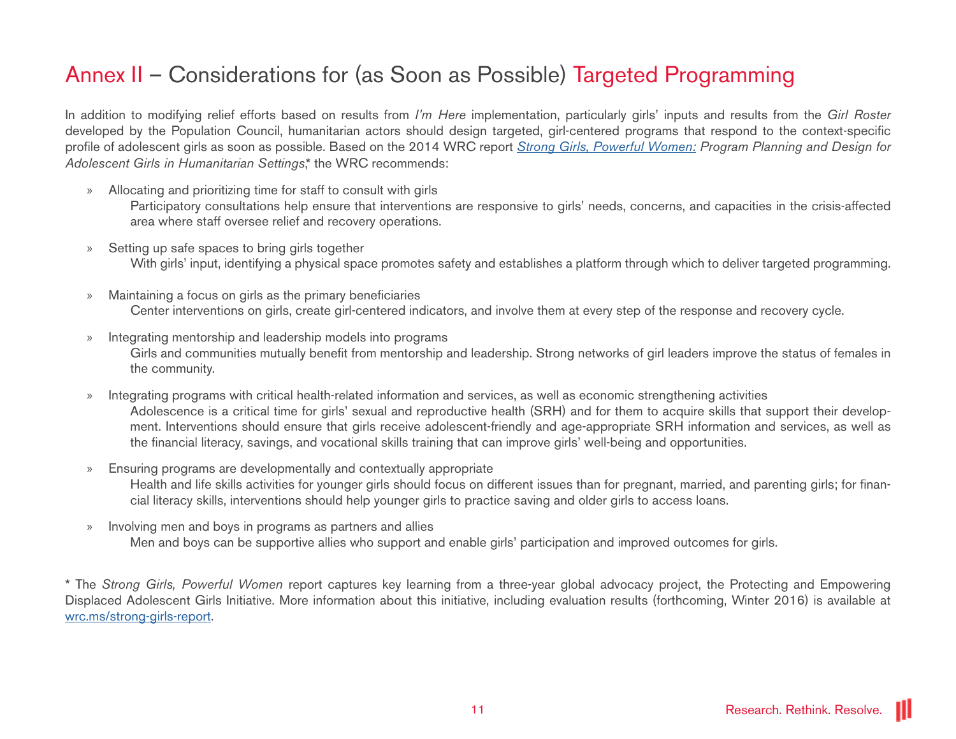## Annex II – Considerations for (as Soon as Possible) Targeted Programming

In addition to modifying relief efforts based on results from *I'm Here* implementation, particularly girls' inputs and results from the *Girl Roster* developed by the Population Council, humanitarian actors should design targeted, girl-centered programs that respond to the context-specific profile of adolescent girls as soon as possible. Based on the 2014 WRC report *[Strong Girls, Powerful Women:](http://wrc.ms/strong-girls-report) Program Planning and Design for Adolescent Girls in Humanitarian Settings*,\* the WRC recommends:

- » Allocating and prioritizing time for staff to consult with girls Participatory consultations help ensure that interventions are responsive to girls' needs, concerns, and capacities in the crisis-affected area where staff oversee relief and recovery operations.
- » Setting up safe spaces to bring girls together With girls' input, identifying a physical space promotes safety and establishes a platform through which to deliver targeted programming.
- » Maintaining a focus on girls as the primary beneficiaries Center interventions on girls, create girl-centered indicators, and involve them at every step of the response and recovery cycle.
- » Integrating mentorship and leadership models into programs Girls and communities mutually benefit from mentorship and leadership. Strong networks of girl leaders improve the status of females in the community.
- » Integrating programs with critical health-related information and services, as well as economic strengthening activities Adolescence is a critical time for girls' sexual and reproductive health (SRH) and for them to acquire skills that support their development. Interventions should ensure that girls receive adolescent-friendly and age-appropriate SRH information and services, as well as the financial literacy, savings, and vocational skills training that can improve girls' well-being and opportunities.
- » Ensuring programs are developmentally and contextually appropriate Health and life skills activities for younger girls should focus on different issues than for pregnant, married, and parenting girls; for financial literacy skills, interventions should help younger girls to practice saving and older girls to access loans.
- » Involving men and boys in programs as partners and allies Men and boys can be supportive allies who support and enable girls' participation and improved outcomes for girls.

\* The *Strong Girls, Powerful Women* report captures key learning from a three-year global advocacy project, the Protecting and Empowering Displaced Adolescent Girls Initiative. More information about this initiative, including evaluation results (forthcoming, Winter 2016) is available at [wrc.ms/strong-](http://wrc.ms/strong-girls-report)girls-report.